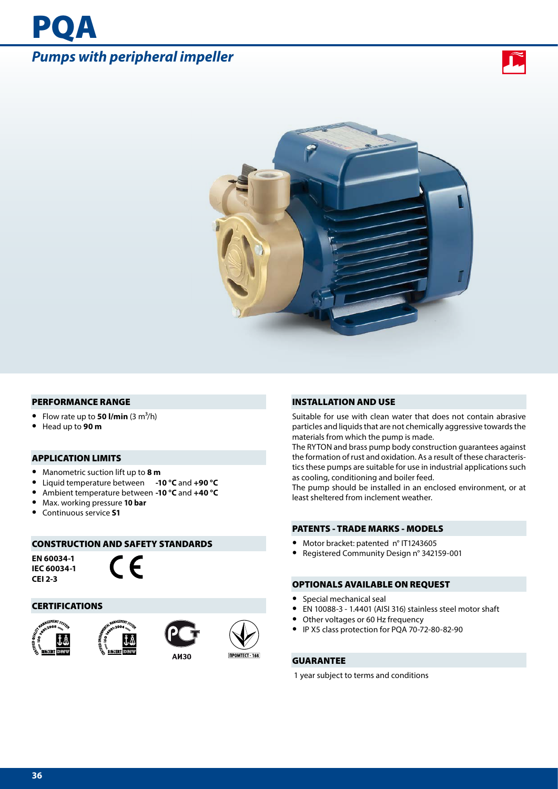# *Pumps with peripheral impeller*

PQA





#### PERFORMANCE RANGE

- Flow rate up to **50 l/min**  $(3 \text{ m}^3/\text{h})$
- **•** Head up to **90 m**

### APPLICATION LIMITS

- **•** Manometric suction lift up to **8 m**
- **•** Liquid temperature between **-10 °C** and **+90 °C**
- **•** Ambient temperature between **-10 °C** and **+40 °C**
- **•** Max. working pressure **10 bar**
- **•** Continuous service **S1**

# CONSTRUCTION AND SAFETY STANDARDS

**EN 60034-1 IEC 60034-1 CEI 2-3**



#### CERTIFICATIONS









**ПРОМТЕСТ - 168** 

#### INSTALLATION AND USE

Suitable for use with clean water that does not contain abrasive particles and liquids that are not chemically aggressive towards the materials from which the pump is made.

The RYTON and brass pump body construction guarantees against the formation of rust and oxidation. As a result of these characteristics these pumps are suitable for use in industrial applications such as cooling, conditioning and boiler feed.

The pump should be installed in an enclosed environment, or at least sheltered from inclement weather.

#### PATENTS - TRADE MARKS - MODELS

- **•** Motor bracket: patented n° IT1243605
- 
- **•** Registered Community Design n° 342159-001

### OPTIONALS AVAILABLE ON REQUEST

- **•** Special mechanical seal
- **•** EN 10088-3 1.4401 (AISI 316) stainless steel motor shaft
- **•** Other voltages or 60 Hz frequency
- **•** IP X5 class protection for PQA 70-72-80-82-90

## GUARANTEE

1 year subject to terms and conditions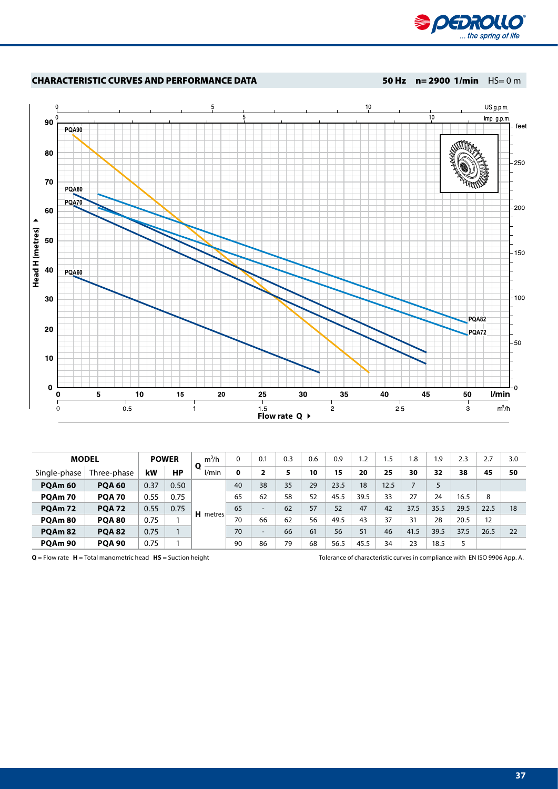



|                    | <b>MODEL</b>  |      | <b>POWER</b> | $m^3/h$<br>Ο    | 0  | 0.1                      | 0.3 | 0.6 | 0.9  | 1.2  | 1.5  | .8   | 1.9  | 2.3  | 2.7  | 3.0 |
|--------------------|---------------|------|--------------|-----------------|----|--------------------------|-----|-----|------|------|------|------|------|------|------|-----|
| Single-phase       | Three-phase   | kW   | НP           | l/min           | 0  | 2                        |     | 10  | 15   | 20   | 25   | 30   | 32   | 38   | 45   | 50  |
| PQAm <sub>60</sub> | <b>POA 60</b> | 0.37 | 0.50         |                 | 40 | 38                       | 35  | 29  | 23.5 | 18   | 12.5 |      |      |      |      |     |
| PQAm 70            | <b>POA 70</b> | 0.55 | 0.75         |                 | 65 | 62                       | 58  | 52  | 45.5 | 39.5 | 33   | 27   | 24   | 16.5 | 8    |     |
| <b>PQAm 72</b>     | <b>POA 72</b> | 0.55 | 0.75         | <b>H</b> metres | 65 | $\overline{\phantom{a}}$ | 62  | 57  | 52   | 47   | 42   | 37.5 | 35.5 | 29.5 | 22.5 | 18  |
| PQAm 80            | <b>POA 80</b> | 0.75 |              |                 | 70 | 66                       | 62  | 56  | 49.5 | 43   | 37   | 31   | 28   | 20.5 | 12   |     |
| <b>POAm 82</b>     | <b>POA 82</b> | 0.75 |              |                 | 70 | $\overline{\phantom{a}}$ | 66  | 61  | 56   | 51   | 46   | 41.5 | 39.5 | 37.5 | 26.5 | 22  |
| POAm <sub>90</sub> | <b>POA 90</b> | 0.75 |              |                 | 90 | 86                       | 79  | 68  | 56.5 | 45.5 | 34   | 23   | 18.5 |      |      |     |

**Q** = Flow rate **H** = Total manometric head **HS** = Suction height Tolerance of characteristic curves in compliance with EN ISO 9906 App. A.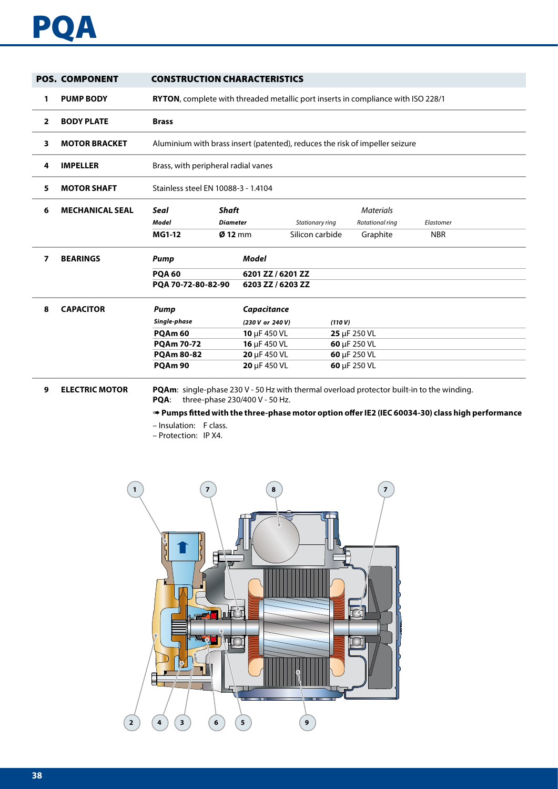

|                | <b>POS. COMPONENT</b>  | <b>CONSTRUCTION CHARACTERISTICS</b>                                                              |                                                                              |                   |                                    |              |                                                 |                         |  |  |  |  |
|----------------|------------------------|--------------------------------------------------------------------------------------------------|------------------------------------------------------------------------------|-------------------|------------------------------------|--------------|-------------------------------------------------|-------------------------|--|--|--|--|
| 1              | <b>PUMP BODY</b>       | RYTON, complete with threaded metallic port inserts in compliance with ISO 228/1                 |                                                                              |                   |                                    |              |                                                 |                         |  |  |  |  |
| $\overline{2}$ | <b>BODY PLATE</b>      | <b>Brass</b>                                                                                     |                                                                              |                   |                                    |              |                                                 |                         |  |  |  |  |
| 3              | <b>MOTOR BRACKET</b>   |                                                                                                  | Aluminium with brass insert (patented), reduces the risk of impeller seizure |                   |                                    |              |                                                 |                         |  |  |  |  |
| 4              | <b>IMPELLER</b>        |                                                                                                  | Brass, with peripheral radial vanes                                          |                   |                                    |              |                                                 |                         |  |  |  |  |
| 5              | <b>MOTOR SHAFT</b>     |                                                                                                  | Stainless steel EN 10088-3 - 1.4104                                          |                   |                                    |              |                                                 |                         |  |  |  |  |
| 6              | <b>MECHANICAL SEAL</b> | <b>Seal</b><br><b>Model</b><br><b>MG1-12</b>                                                     | <b>Shaft</b><br><b>Diameter</b><br>$Ø$ 12 mm                                 |                   | Stationary ring<br>Silicon carbide |              | <b>Materials</b><br>Rotational ring<br>Graphite | Elastomer<br><b>NBR</b> |  |  |  |  |
| 7              | <b>BEARINGS</b>        | Pump                                                                                             |                                                                              | Model             |                                    |              |                                                 |                         |  |  |  |  |
|                |                        | <b>POA 60</b>                                                                                    |                                                                              | 6201 ZZ / 6201 ZZ |                                    |              |                                                 |                         |  |  |  |  |
|                |                        | PQA 70-72-80-82-90                                                                               |                                                                              | 6203 ZZ / 6203 ZZ |                                    |              |                                                 |                         |  |  |  |  |
| 8              | <b>CAPACITOR</b>       | <b>Pump</b>                                                                                      |                                                                              | Capacitance       |                                    |              |                                                 |                         |  |  |  |  |
|                |                        | Single-phase                                                                                     |                                                                              | (230 V or 240 V)  |                                    | (110 V)      |                                                 |                         |  |  |  |  |
|                |                        | <b>POAm 60</b>                                                                                   |                                                                              | 10 µF 450 VL      |                                    | 25 µF 250 VL |                                                 |                         |  |  |  |  |
|                |                        | <b>PQAm 70-72</b>                                                                                |                                                                              | 16 µF 450 VL      |                                    | 60 µF 250 VL |                                                 |                         |  |  |  |  |
|                |                        | <b>PQAm 80-82</b>                                                                                |                                                                              | 20 µF 450 VL      |                                    | 60 µF 250 VL |                                                 |                         |  |  |  |  |
|                |                        | PQAm 90                                                                                          |                                                                              | 20 µF 450 VL      |                                    | 60 µF 250 VL |                                                 |                         |  |  |  |  |
| 9              | <b>ELECTRIC MOTOR</b>  | <b>PQAm:</b> single-phase 230 V - 50 Hz with thermal overload protector built-in to the winding. |                                                                              |                   |                                    |              |                                                 |                         |  |  |  |  |

**PQA**: three-phase 230/400 V - 50 Hz.

➠ **Pumps fitted with the three-phase motor option offer IE2 (IEC 60034-30) class high performance**

– Insulation: F class.

– Protection: IP X4.